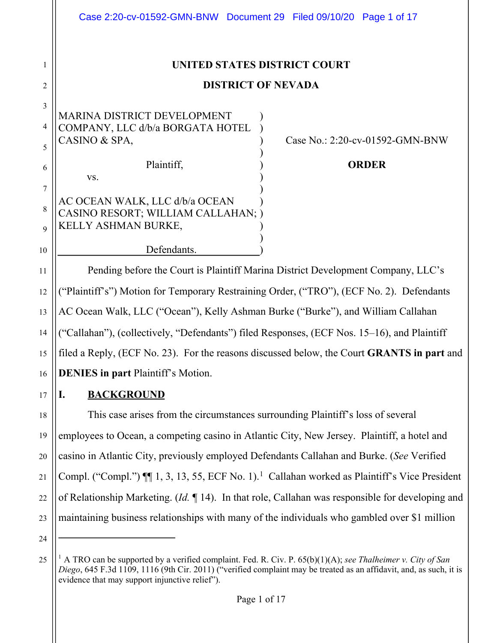|                                 | Case 2:20-cv-01592-GMN-BNW Document 29 Filed 09/10/20 Page 1 of 17                                                                                                                                                                |
|---------------------------------|-----------------------------------------------------------------------------------------------------------------------------------------------------------------------------------------------------------------------------------|
| 1                               | UNITED STATES DISTRICT COURT                                                                                                                                                                                                      |
| 2                               | <b>DISTRICT OF NEVADA</b>                                                                                                                                                                                                         |
| 3<br>4<br>5                     | <b>MARINA DISTRICT DEVELOPMENT</b><br>COMPANY, LLC d/b/a BORGATA HOTEL<br>CASINO & SPA,<br>Case No.: 2:20-cv-01592-GMN-BNW                                                                                                        |
| 6                               | Plaintiff,<br><b>ORDER</b><br>VS.                                                                                                                                                                                                 |
| 7<br>$\,$ 8 $\,$<br>$\mathbf Q$ | AC OCEAN WALK, LLC d/b/a OCEAN<br>CASINO RESORT; WILLIAM CALLAHAN; )<br>KELLY ASHMAN BURKE,                                                                                                                                       |
| 10                              | Defendants.                                                                                                                                                                                                                       |
| 11                              | Pending before the Court is Plaintiff Marina District Development Company, LLC's                                                                                                                                                  |
| 12                              | ("Plaintiff's") Motion for Temporary Restraining Order, ("TRO"), (ECF No. 2). Defendants                                                                                                                                          |
| 13                              | AC Ocean Walk, LLC ("Ocean"), Kelly Ashman Burke ("Burke"), and William Callahan                                                                                                                                                  |
| 14                              | ("Callahan"), (collectively, "Defendants") filed Responses, (ECF Nos. 15–16), and Plaintiff                                                                                                                                       |
| 15                              | filed a Reply, (ECF No. 23). For the reasons discussed below, the Court GRANTS in part and                                                                                                                                        |
| 16                              | <b>DENIES</b> in part Plaintiff's Motion.                                                                                                                                                                                         |
| 17                              | <b>BACKGROUND</b><br>Ī.                                                                                                                                                                                                           |
| 18                              | This case arises from the circumstances surrounding Plaintiff's loss of several                                                                                                                                                   |
| 19                              | employees to Ocean, a competing casino in Atlantic City, New Jersey. Plaintiff, a hotel and                                                                                                                                       |
| 20                              | casino in Atlantic City, previously employed Defendants Callahan and Burke. (See Verified                                                                                                                                         |
| 21                              | Compl. ("Compl.") ¶ 1, 3, 13, 55, ECF No. 1). <sup>1</sup> Callahan worked as Plaintiff's Vice President                                                                                                                          |
| 22                              | of Relationship Marketing. ( <i>Id.</i> $\P$ 14). In that role, Callahan was responsible for developing and                                                                                                                       |
| 23<br>24                        | maintaining business relationships with many of the individuals who gambled over \$1 million                                                                                                                                      |
| 25                              | A TRO can be supported by a verified complaint. Fed. R. Civ. P. 65(b)(1)(A); see Thalheimer v. City of San<br>Diego, 645 F.3d 1109, 1116 (9th Cir. 2011) ("verified complaint may be treated as an affidavit, and, as such, it is |

evidence that may support injunctive relief").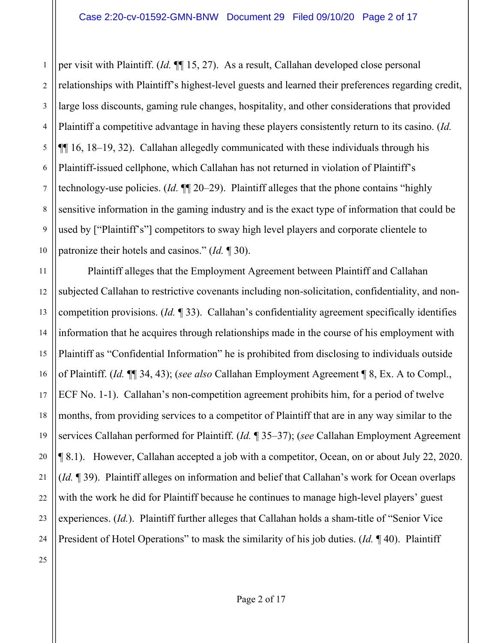1 2 per visit with Plaintiff. (*Id.* ¶¶ 15, 27). As a result, Callahan developed close personal relationships with Plaintiff's highest-level guests and learned their preferences regarding credit, large loss discounts, gaming rule changes, hospitality, and other considerations that provided Plaintiff a competitive advantage in having these players consistently return to its casino. (*Id.* ¶¶ 16, 18–19, 32). Callahan allegedly communicated with these individuals through his Plaintiff-issued cellphone, which Callahan has not returned in violation of Plaintiff's technology-use policies. (*Id.* ¶¶ 20–29). Plaintiff alleges that the phone contains "highly sensitive information in the gaming industry and is the exact type of information that could be used by ["Plaintiff's"] competitors to sway high level players and corporate clientele to patronize their hotels and casinos." (*Id.* ¶ 30).

Plaintiff alleges that the Employment Agreement between Plaintiff and Callahan subjected Callahan to restrictive covenants including non-solicitation, confidentiality, and noncompetition provisions. (*Id.* ¶ 33). Callahan's confidentiality agreement specifically identifies information that he acquires through relationships made in the course of his employment with Plaintiff as "Confidential Information" he is prohibited from disclosing to individuals outside of Plaintiff. (*Id.* ¶¶ 34, 43); (*see also* Callahan Employment Agreement ¶ 8, Ex. A to Compl., ECF No. 1-1). Callahan's non-competition agreement prohibits him, for a period of twelve months, from providing services to a competitor of Plaintiff that are in any way similar to the services Callahan performed for Plaintiff. (*Id.* ¶ 35–37); (*see* Callahan Employment Agreement ¶ 8.1). However, Callahan accepted a job with a competitor, Ocean, on or about July 22, 2020. (*Id.* ¶ 39). Plaintiff alleges on information and belief that Callahan's work for Ocean overlaps with the work he did for Plaintiff because he continues to manage high-level players' guest experiences. (*Id.*). Plaintiff further alleges that Callahan holds a sham-title of "Senior Vice President of Hotel Operations" to mask the similarity of his job duties. (*Id.* ¶ 40). Plaintiff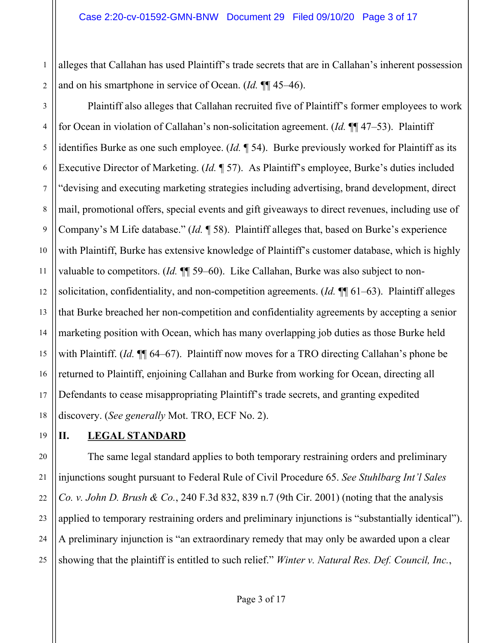2 alleges that Callahan has used Plaintiff's trade secrets that are in Callahan's inherent possession and on his smartphone in service of Ocean. (*Id.* ¶¶ 45–46).

3 4 5 6 7 8 9 10 11 12 13 14 15 16 17 18 Plaintiff also alleges that Callahan recruited five of Plaintiff's former employees to work for Ocean in violation of Callahan's non-solicitation agreement. (*Id.* ¶¶ 47–53). Plaintiff identifies Burke as one such employee. (*Id.* ¶ 54). Burke previously worked for Plaintiff as its Executive Director of Marketing. (*Id.* ¶ 57). As Plaintiff's employee, Burke's duties included "devising and executing marketing strategies including advertising, brand development, direct mail, promotional offers, special events and gift giveaways to direct revenues, including use of Company's M Life database." (*Id.* ¶ 58). Plaintiff alleges that, based on Burke's experience with Plaintiff, Burke has extensive knowledge of Plaintiff's customer database, which is highly valuable to competitors. (*Id.* ¶¶ 59–60). Like Callahan, Burke was also subject to nonsolicitation, confidentiality, and non-competition agreements. (*Id.* ¶¶ 61–63). Plaintiff alleges that Burke breached her non-competition and confidentiality agreements by accepting a senior marketing position with Ocean, which has many overlapping job duties as those Burke held with Plaintiff. (*Id.* ¶¶ 64–67). Plaintiff now moves for a TRO directing Callahan's phone be returned to Plaintiff, enjoining Callahan and Burke from working for Ocean, directing all Defendants to cease misappropriating Plaintiff's trade secrets, and granting expedited discovery. (*See generally* Mot. TRO, ECF No. 2).

# 19

20

21

22

23

24

25

1

# **II. LEGAL STANDARD**

The same legal standard applies to both temporary restraining orders and preliminary injunctions sought pursuant to Federal Rule of Civil Procedure 65. *See Stuhlbarg Int'l Sales Co. v. John D. Brush & Co.*, 240 F.3d 832, 839 n.7 (9th Cir. 2001) (noting that the analysis applied to temporary restraining orders and preliminary injunctions is "substantially identical"). A preliminary injunction is "an extraordinary remedy that may only be awarded upon a clear showing that the plaintiff is entitled to such relief." *Winter v. Natural Res. Def. Council, Inc.*,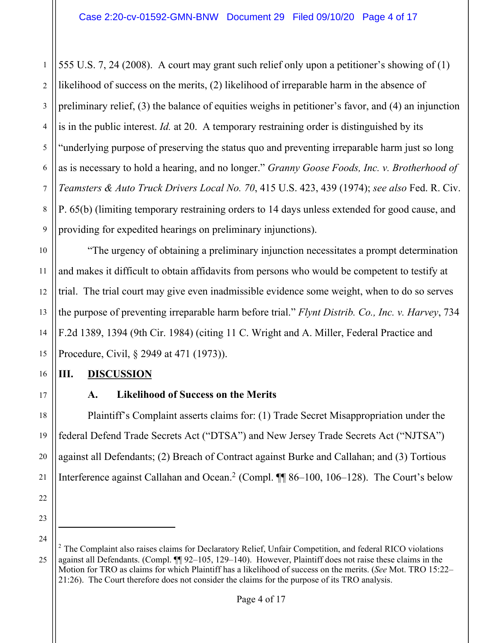2 3 4 5 6 7 8 9 555 U.S. 7, 24 (2008). A court may grant such relief only upon a petitioner's showing of (1) likelihood of success on the merits, (2) likelihood of irreparable harm in the absence of preliminary relief, (3) the balance of equities weighs in petitioner's favor, and (4) an injunction is in the public interest. *Id.* at 20. A temporary restraining order is distinguished by its "underlying purpose of preserving the status quo and preventing irreparable harm just so long as is necessary to hold a hearing, and no longer." *Granny Goose Foods, Inc. v. Brotherhood of Teamsters & Auto Truck Drivers Local No. 70*, 415 U.S. 423, 439 (1974); *see also* Fed. R. Civ. P. 65(b) (limiting temporary restraining orders to 14 days unless extended for good cause, and providing for expedited hearings on preliminary injunctions).

"The urgency of obtaining a preliminary injunction necessitates a prompt determination and makes it difficult to obtain affidavits from persons who would be competent to testify at trial. The trial court may give even inadmissible evidence some weight, when to do so serves the purpose of preventing irreparable harm before trial." *Flynt Distrib. Co., Inc. v. Harvey*, 734 F.2d 1389, 1394 (9th Cir. 1984) (citing 11 C. Wright and A. Miller, Federal Practice and Procedure, Civil, § 2949 at 471 (1973)).

### **III. DISCUSSION**

17

10

11

12

13

14

15

16

18

19

20

21

22

1

# **A. Likelihood of Success on the Merits**

Plaintiff's Complaint asserts claims for: (1) Trade Secret Misappropriation under the federal Defend Trade Secrets Act ("DTSA") and New Jersey Trade Secrets Act ("NJTSA") against all Defendants; (2) Breach of Contract against Burke and Callahan; and (3) Tortious Interference against Callahan and Ocean.<sup>2</sup> (Compl. ¶¶ 86–100, 106–128). The Court's below

<sup>23</sup> 24

 $2$  The Complaint also raises claims for Declaratory Relief, Unfair Competition, and federal RICO violations against all Defendants. (Compl. ¶¶ 92–105, 129–140). However, Plaintiff does not raise these claims in the Motion for TRO as claims for which Plaintiff has a likelihood of success on the merits. (*See* Mot. TRO 15:22– 21:26). The Court therefore does not consider the claims for the purpose of its TRO analysis.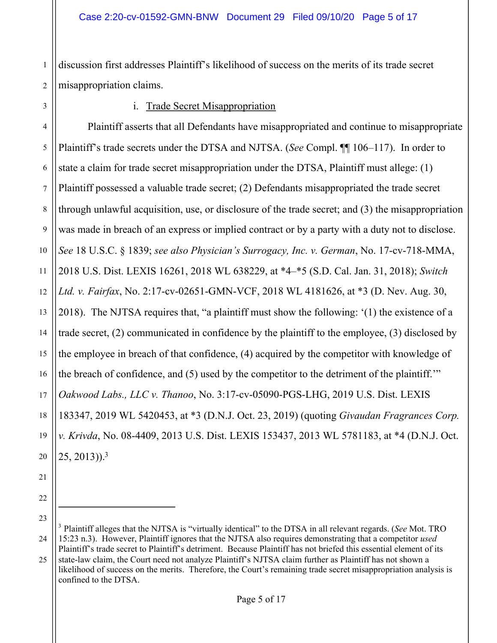1 discussion first addresses Plaintiff's likelihood of success on the merits of its trade secret misappropriation claims.

#### i. Trade Secret Misappropriation

Plaintiff asserts that all Defendants have misappropriated and continue to misappropriate Plaintiff's trade secrets under the DTSA and NJTSA. (*See* Compl. ¶¶ 106–117). In order to state a claim for trade secret misappropriation under the DTSA, Plaintiff must allege: (1) Plaintiff possessed a valuable trade secret; (2) Defendants misappropriated the trade secret through unlawful acquisition, use, or disclosure of the trade secret; and (3) the misappropriation was made in breach of an express or implied contract or by a party with a duty not to disclose. *See* 18 U.S.C. § 1839; *see also Physician's Surrogacy, Inc. v. German*, No. 17-cv-718-MMA, 2018 U.S. Dist. LEXIS 16261, 2018 WL 638229, at \*4–\*5 (S.D. Cal. Jan. 31, 2018); *Switch Ltd. v. Fairfax*, No. 2:17-cv-02651-GMN-VCF, 2018 WL 4181626, at \*3 (D. Nev. Aug. 30, 2018). The NJTSA requires that, "a plaintiff must show the following: '(1) the existence of a trade secret, (2) communicated in confidence by the plaintiff to the employee, (3) disclosed by the employee in breach of that confidence, (4) acquired by the competitor with knowledge of the breach of confidence, and (5) used by the competitor to the detriment of the plaintiff.'" *Oakwood Labs., LLC v. Thanoo*, No. 3:17-cv-05090-PGS-LHG, 2019 U.S. Dist. LEXIS 183347, 2019 WL 5420453, at \*3 (D.N.J. Oct. 23, 2019) (quoting *Givaudan Fragrances Corp. v. Krivda*, No. 08-4409, 2013 U.S. Dist. LEXIS 153437, 2013 WL 5781183, at \*4 (D.N.J. Oct.  $(25, 2013)$ <sup>3</sup>

<sup>25</sup> <sup>3</sup> Plaintiff alleges that the NJTSA is "virtually identical" to the DTSA in all relevant regards. (*See* Mot. TRO 15:23 n.3). However, Plaintiff ignores that the NJTSA also requires demonstrating that a competitor *used* Plaintiff's trade secret to Plaintiff's detriment. Because Plaintiff has not briefed this essential element of its state-law claim, the Court need not analyze Plaintiff's NJTSA claim further as Plaintiff has not shown a likelihood of success on the merits. Therefore, the Court's remaining trade secret misappropriation analysis is confined to the DTSA.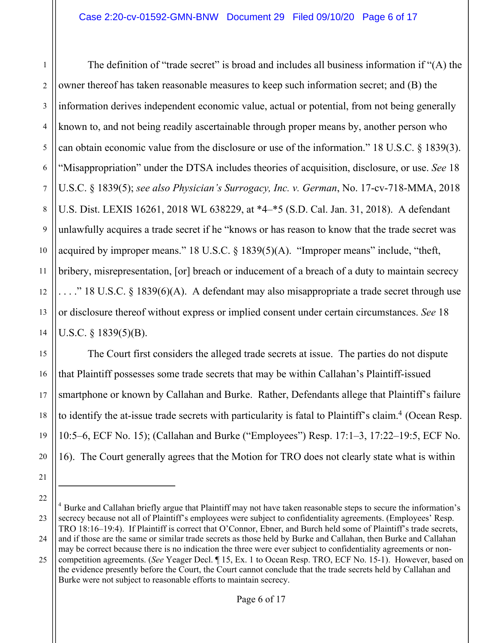1 2 3 4 5 6 The definition of "trade secret" is broad and includes all business information if "(A) the owner thereof has taken reasonable measures to keep such information secret; and (B) the information derives independent economic value, actual or potential, from not being generally known to, and not being readily ascertainable through proper means by, another person who can obtain economic value from the disclosure or use of the information." 18 U.S.C. § 1839(3). "Misappropriation" under the DTSA includes theories of acquisition, disclosure, or use. *See* 18 U.S.C. § 1839(5); *see also Physician's Surrogacy, Inc. v. German*, No. 17-cv-718-MMA, 2018 U.S. Dist. LEXIS 16261, 2018 WL 638229, at \*4–\*5 (S.D. Cal. Jan. 31, 2018). A defendant unlawfully acquires a trade secret if he "knows or has reason to know that the trade secret was acquired by improper means." 18 U.S.C. § 1839(5)(A). "Improper means" include, "theft, bribery, misrepresentation, [or] breach or inducement of a breach of a duty to maintain secrecy  $\ldots$ ." 18 U.S.C. § 1839(6)(A). A defendant may also misappropriate a trade secret through use or disclosure thereof without express or implied consent under certain circumstances. *See* 18 U.S.C. § 1839(5)(B).

The Court first considers the alleged trade secrets at issue. The parties do not dispute that Plaintiff possesses some trade secrets that may be within Callahan's Plaintiff-issued smartphone or known by Callahan and Burke. Rather, Defendants allege that Plaintiff's failure to identify the at-issue trade secrets with particularity is fatal to Plaintiff's claim.<sup>4</sup> (Ocean Resp. 10:5–6, ECF No. 15); (Callahan and Burke ("Employees") Resp. 17:1–3, 17:22–19:5, ECF No. 16). The Court generally agrees that the Motion for TRO does not clearly state what is within

<sup>21</sup>

<sup>&</sup>lt;sup>4</sup> Burke and Callahan briefly argue that Plaintiff may not have taken reasonable steps to secure the information's secrecy because not all of Plaintiff's employees were subject to confidentiality agreements. (Employees' Resp. TRO 18:16–19:4). If Plaintiff is correct that O'Connor, Ebner, and Burch held some of Plaintiff's trade secrets, and if those are the same or similar trade secrets as those held by Burke and Callahan, then Burke and Callahan

<sup>25</sup> may be correct because there is no indication the three were ever subject to confidentiality agreements or noncompetition agreements. (*See* Yeager Decl. ¶ 15, Ex. 1 to Ocean Resp. TRO, ECF No. 15-1). However, based on

the evidence presently before the Court, the Court cannot conclude that the trade secrets held by Callahan and Burke were not subject to reasonable efforts to maintain secrecy.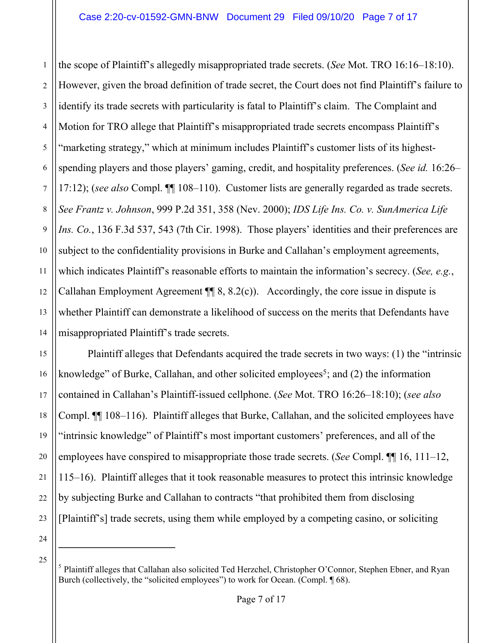1 2 3 4 5 6 7 8 9 10 11 12 13 14 the scope of Plaintiff's allegedly misappropriated trade secrets. (*See* Mot. TRO 16:16–18:10). However, given the broad definition of trade secret, the Court does not find Plaintiff's failure to identify its trade secrets with particularity is fatal to Plaintiff's claim. The Complaint and Motion for TRO allege that Plaintiff's misappropriated trade secrets encompass Plaintiff's "marketing strategy," which at minimum includes Plaintiff's customer lists of its highestspending players and those players' gaming, credit, and hospitality preferences. (*See id.* 16:26– 17:12); (*see also* Compl. ¶¶ 108–110). Customer lists are generally regarded as trade secrets. *See Frantz v. Johnson*, 999 P.2d 351, 358 (Nev. 2000); *IDS Life Ins. Co. v. SunAmerica Life Ins. Co.*, 136 F.3d 537, 543 (7th Cir. 1998). Those players' identities and their preferences are subject to the confidentiality provisions in Burke and Callahan's employment agreements, which indicates Plaintiff's reasonable efforts to maintain the information's secrecy. (*See, e.g.*, Callahan Employment Agreement  $\P$  8, 8.2(c)). Accordingly, the core issue in dispute is whether Plaintiff can demonstrate a likelihood of success on the merits that Defendants have misappropriated Plaintiff's trade secrets.

15 16 17 18 19 20 22 23 Plaintiff alleges that Defendants acquired the trade secrets in two ways: (1) the "intrinsic knowledge" of Burke, Callahan, and other solicited employees<sup>5</sup>; and (2) the information contained in Callahan's Plaintiff-issued cellphone. (*See* Mot. TRO 16:26–18:10); (*see also* Compl. ¶¶ 108–116). Plaintiff alleges that Burke, Callahan, and the solicited employees have "intrinsic knowledge" of Plaintiff's most important customers' preferences, and all of the employees have conspired to misappropriate those trade secrets. (*See* Compl. ¶¶ 16, 111–12, 115–16). Plaintiff alleges that it took reasonable measures to protect this intrinsic knowledge by subjecting Burke and Callahan to contracts "that prohibited them from disclosing [Plaintiff's] trade secrets, using them while employed by a competing casino, or soliciting

24 25

<sup>&</sup>lt;sup>5</sup> Plaintiff alleges that Callahan also solicited Ted Herzchel, Christopher O'Connor, Stephen Ebner, and Ryan Burch (collectively, the "solicited employees") to work for Ocean. (Compl. 168).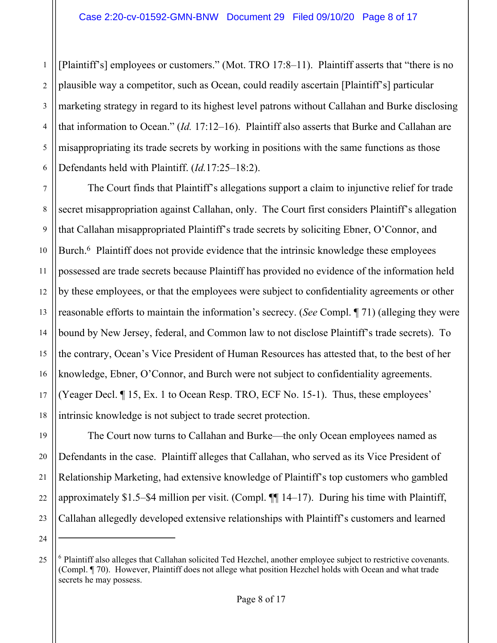1 2 3 4 5 6 [Plaintiff's] employees or customers." (Mot. TRO 17:8–11). Plaintiff asserts that "there is no plausible way a competitor, such as Ocean, could readily ascertain [Plaintiff's] particular marketing strategy in regard to its highest level patrons without Callahan and Burke disclosing that information to Ocean." (*Id.* 17:12–16). Plaintiff also asserts that Burke and Callahan are misappropriating its trade secrets by working in positions with the same functions as those Defendants held with Plaintiff. (*Id.*17:25–18:2).

7 8 9 10 11 12 13 14 15 16 17 18 The Court finds that Plaintiff's allegations support a claim to injunctive relief for trade secret misappropriation against Callahan, only. The Court first considers Plaintiff's allegation that Callahan misappropriated Plaintiff's trade secrets by soliciting Ebner, O'Connor, and Burch.<sup>6</sup> Plaintiff does not provide evidence that the intrinsic knowledge these employees possessed are trade secrets because Plaintiff has provided no evidence of the information held by these employees, or that the employees were subject to confidentiality agreements or other reasonable efforts to maintain the information's secrecy. (*See* Compl. ¶ 71) (alleging they were bound by New Jersey, federal, and Common law to not disclose Plaintiff's trade secrets). To the contrary, Ocean's Vice President of Human Resources has attested that, to the best of her knowledge, Ebner, O'Connor, and Burch were not subject to confidentiality agreements. (Yeager Decl. ¶ 15, Ex. 1 to Ocean Resp. TRO, ECF No. 15-1). Thus, these employees' intrinsic knowledge is not subject to trade secret protection.

20 The Court now turns to Callahan and Burke—the only Ocean employees named as Defendants in the case. Plaintiff alleges that Callahan, who served as its Vice President of Relationship Marketing, had extensive knowledge of Plaintiff's top customers who gambled approximately \$1.5–\$4 million per visit. (Compl. ¶¶ 14–17). During his time with Plaintiff, Callahan allegedly developed extensive relationships with Plaintiff's customers and learned

19

21

22

23

<sup>25</sup>  $6$  Plaintiff also alleges that Callahan solicited Ted Hezchel, another employee subject to restrictive covenants. (Compl. ¶ 70). However, Plaintiff does not allege what position Hezchel holds with Ocean and what trade secrets he may possess.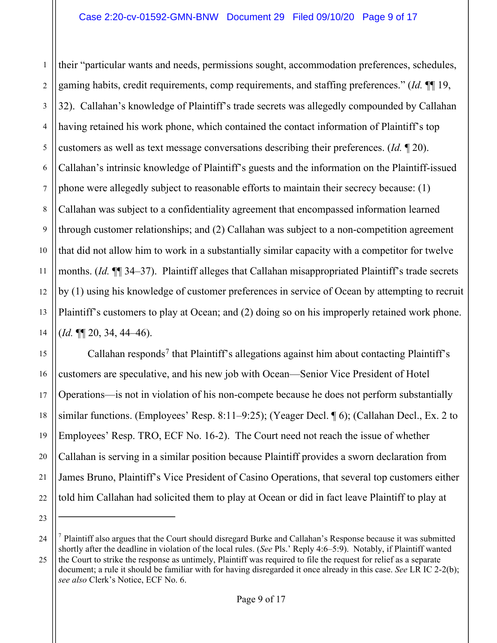1 2 3 4 5 6 7 8 9 10 11 12 13 14 their "particular wants and needs, permissions sought, accommodation preferences, schedules, gaming habits, credit requirements, comp requirements, and staffing preferences." (*Id.* ¶¶ 19, 32). Callahan's knowledge of Plaintiff's trade secrets was allegedly compounded by Callahan having retained his work phone, which contained the contact information of Plaintiff's top customers as well as text message conversations describing their preferences. (*Id.* ¶ 20). Callahan's intrinsic knowledge of Plaintiff's guests and the information on the Plaintiff-issued phone were allegedly subject to reasonable efforts to maintain their secrecy because: (1) Callahan was subject to a confidentiality agreement that encompassed information learned through customer relationships; and (2) Callahan was subject to a non-competition agreement that did not allow him to work in a substantially similar capacity with a competitor for twelve months. (*Id.* ¶¶ 34–37). Plaintiff alleges that Callahan misappropriated Plaintiff's trade secrets by (1) using his knowledge of customer preferences in service of Ocean by attempting to recruit Plaintiff's customers to play at Ocean; and (2) doing so on his improperly retained work phone. (*Id.* ¶¶ 20, 34, 44–46).

15 16 17 18 19 20 21 22 Callahan responds<sup>7</sup> that Plaintiff's allegations against him about contacting Plaintiff's customers are speculative, and his new job with Ocean—Senior Vice President of Hotel Operations—is not in violation of his non-compete because he does not perform substantially similar functions. (Employees' Resp. 8:11–9:25); (Yeager Decl. ¶ 6); (Callahan Decl., Ex. 2 to Employees' Resp. TRO, ECF No. 16-2). The Court need not reach the issue of whether Callahan is serving in a similar position because Plaintiff provides a sworn declaration from James Bruno, Plaintiff's Vice President of Casino Operations, that several top customers either told him Callahan had solicited them to play at Ocean or did in fact leave Plaintiff to play at

<sup>24</sup> 25 <sup>7</sup> Plaintiff also argues that the Court should disregard Burke and Callahan's Response because it was submitted shortly after the deadline in violation of the local rules. (*See* Pls.' Reply 4:6–5:9). Notably, if Plaintiff wanted the Court to strike the response as untimely, Plaintiff was required to file the request for relief as a separate document; a rule it should be familiar with for having disregarded it once already in this case. *See* LR IC 2-2(b); *see also* Clerk's Notice, ECF No. 6.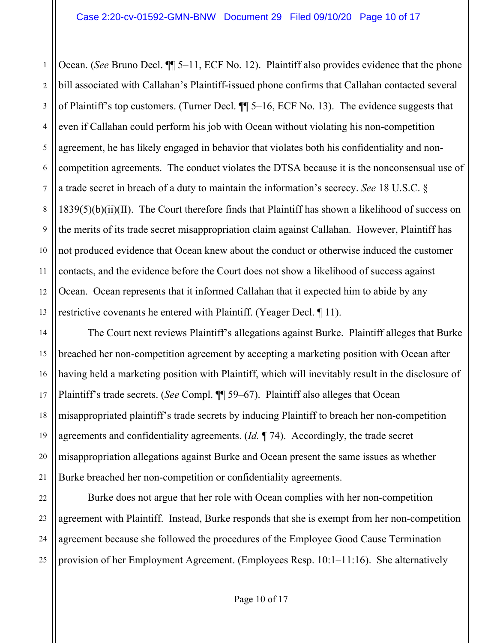1 2 3 4 5 6 7 8 9 10 11 12 13 Ocean. (*See* Bruno Decl. ¶¶ 5–11, ECF No. 12). Plaintiff also provides evidence that the phone bill associated with Callahan's Plaintiff-issued phone confirms that Callahan contacted several of Plaintiff's top customers. (Turner Decl. ¶¶ 5–16, ECF No. 13). The evidence suggests that even if Callahan could perform his job with Ocean without violating his non-competition agreement, he has likely engaged in behavior that violates both his confidentiality and noncompetition agreements. The conduct violates the DTSA because it is the nonconsensual use of a trade secret in breach of a duty to maintain the information's secrecy. *See* 18 U.S.C. § 1839(5)(b)(ii)(II). The Court therefore finds that Plaintiff has shown a likelihood of success on the merits of its trade secret misappropriation claim against Callahan. However, Plaintiff has not produced evidence that Ocean knew about the conduct or otherwise induced the customer contacts, and the evidence before the Court does not show a likelihood of success against Ocean. Ocean represents that it informed Callahan that it expected him to abide by any restrictive covenants he entered with Plaintiff. (Yeager Decl. ¶ 11).

14 15 16 17 18 19 20 21 The Court next reviews Plaintiff's allegations against Burke. Plaintiff alleges that Burke breached her non-competition agreement by accepting a marketing position with Ocean after having held a marketing position with Plaintiff, which will inevitably result in the disclosure of Plaintiff's trade secrets. (*See* Compl. ¶¶ 59–67). Plaintiff also alleges that Ocean misappropriated plaintiff's trade secrets by inducing Plaintiff to breach her non-competition agreements and confidentiality agreements. (*Id.* ¶ 74). Accordingly, the trade secret misappropriation allegations against Burke and Ocean present the same issues as whether Burke breached her non-competition or confidentiality agreements.

22 23 24 25 Burke does not argue that her role with Ocean complies with her non-competition agreement with Plaintiff. Instead, Burke responds that she is exempt from her non-competition agreement because she followed the procedures of the Employee Good Cause Termination provision of her Employment Agreement. (Employees Resp. 10:1–11:16). She alternatively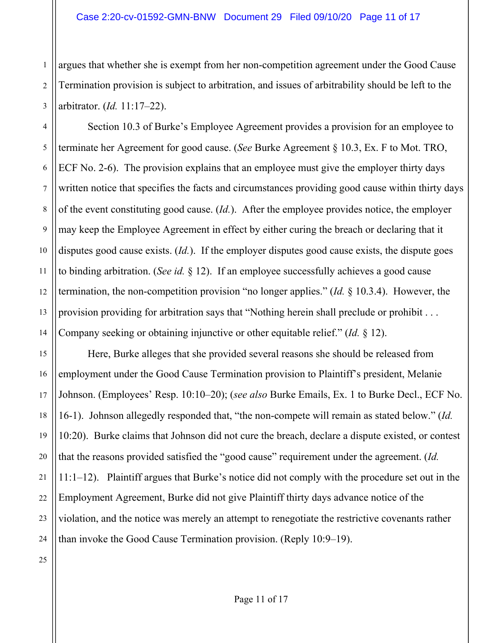argues that whether she is exempt from her non-competition agreement under the Good Cause Termination provision is subject to arbitration, and issues of arbitrability should be left to the arbitrator. (*Id.* 11:17–22).

Section 10.3 of Burke's Employee Agreement provides a provision for an employee to terminate her Agreement for good cause. (*See* Burke Agreement § 10.3, Ex. F to Mot. TRO, ECF No. 2-6). The provision explains that an employee must give the employer thirty days written notice that specifies the facts and circumstances providing good cause within thirty days of the event constituting good cause. (*Id.*). After the employee provides notice, the employer may keep the Employee Agreement in effect by either curing the breach or declaring that it disputes good cause exists. (*Id.*). If the employer disputes good cause exists, the dispute goes to binding arbitration. (*See id.* § 12). If an employee successfully achieves a good cause termination, the non-competition provision "no longer applies." (*Id.* § 10.3.4). However, the provision providing for arbitration says that "Nothing herein shall preclude or prohibit . . . Company seeking or obtaining injunctive or other equitable relief." (*Id.* § 12).

Here, Burke alleges that she provided several reasons she should be released from employment under the Good Cause Termination provision to Plaintiff's president, Melanie Johnson. (Employees' Resp. 10:10–20); (*see also* Burke Emails, Ex. 1 to Burke Decl., ECF No. 16-1). Johnson allegedly responded that, "the non-compete will remain as stated below." (*Id.*  10:20). Burke claims that Johnson did not cure the breach, declare a dispute existed, or contest that the reasons provided satisfied the "good cause" requirement under the agreement. (*Id.* 11:1–12). Plaintiff argues that Burke's notice did not comply with the procedure set out in the Employment Agreement, Burke did not give Plaintiff thirty days advance notice of the violation, and the notice was merely an attempt to renegotiate the restrictive covenants rather than invoke the Good Cause Termination provision. (Reply 10:9–19).

1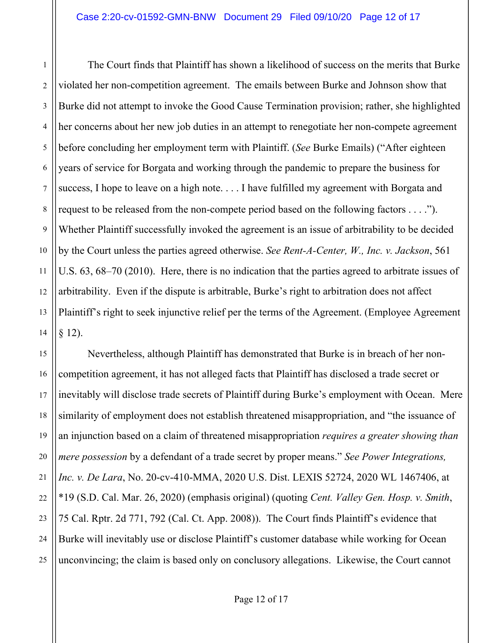1 2 3 4 5 6 7 8 9 10 11 12 13 14 The Court finds that Plaintiff has shown a likelihood of success on the merits that Burke violated her non-competition agreement. The emails between Burke and Johnson show that Burke did not attempt to invoke the Good Cause Termination provision; rather, she highlighted her concerns about her new job duties in an attempt to renegotiate her non-compete agreement before concluding her employment term with Plaintiff. (*See* Burke Emails) ("After eighteen years of service for Borgata and working through the pandemic to prepare the business for success, I hope to leave on a high note. . . . I have fulfilled my agreement with Borgata and request to be released from the non-compete period based on the following factors . . . ."). Whether Plaintiff successfully invoked the agreement is an issue of arbitrability to be decided by the Court unless the parties agreed otherwise. *See Rent-A-Center, W., Inc. v. Jackson*, 561 U.S. 63, 68–70 (2010). Here, there is no indication that the parties agreed to arbitrate issues of arbitrability. Even if the dispute is arbitrable, Burke's right to arbitration does not affect Plaintiff's right to seek injunctive relief per the terms of the Agreement. (Employee Agreement § 12).

15 16 17 18 19 20 21 22 23 24 25 Nevertheless, although Plaintiff has demonstrated that Burke is in breach of her noncompetition agreement, it has not alleged facts that Plaintiff has disclosed a trade secret or inevitably will disclose trade secrets of Plaintiff during Burke's employment with Ocean. Mere similarity of employment does not establish threatened misappropriation, and "the issuance of an injunction based on a claim of threatened misappropriation *requires a greater showing than mere possession* by a defendant of a trade secret by proper means." *See Power Integrations, Inc. v. De Lara*, No. 20-cv-410-MMA, 2020 U.S. Dist. LEXIS 52724, 2020 WL 1467406, at \*19 (S.D. Cal. Mar. 26, 2020) (emphasis original) (quoting *Cent. Valley Gen. Hosp. v. Smith*, 75 Cal. Rptr. 2d 771, 792 (Cal. Ct. App. 2008)). The Court finds Plaintiff's evidence that Burke will inevitably use or disclose Plaintiff's customer database while working for Ocean unconvincing; the claim is based only on conclusory allegations. Likewise, the Court cannot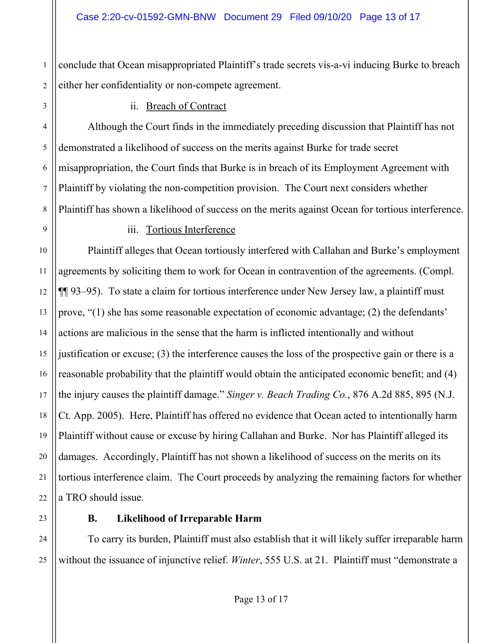2 conclude that Ocean misappropriated Plaintiff's trade secrets vis-a-vi inducing Burke to breach either her confidentiality or non-compete agreement.

ii. Breach of Contract

Although the Court finds in the immediately preceding discussion that Plaintiff has not demonstrated a likelihood of success on the merits against Burke for trade secret misappropriation, the Court finds that Burke is in breach of its Employment Agreement with Plaintiff by violating the non-competition provision. The Court next considers whether Plaintiff has shown a likelihood of success on the merits against Ocean for tortious interference.

#### iii. Tortious Interference

Plaintiff alleges that Ocean tortiously interfered with Callahan and Burke's employment agreements by soliciting them to work for Ocean in contravention of the agreements. (Compl. ¶¶ 93–95). To state a claim for tortious interference under New Jersey law, a plaintiff must prove, "(1) she has some reasonable expectation of economic advantage; (2) the defendants' actions are malicious in the sense that the harm is inflicted intentionally and without justification or excuse; (3) the interference causes the loss of the prospective gain or there is a reasonable probability that the plaintiff would obtain the anticipated economic benefit; and (4) the injury causes the plaintiff damage." *Singer v. Beach Trading Co.*, 876 A.2d 885, 895 (N.J. Ct. App. 2005). Here, Plaintiff has offered no evidence that Ocean acted to intentionally harm Plaintiff without cause or excuse by hiring Callahan and Burke. Nor has Plaintiff alleged its damages. Accordingly, Plaintiff has not shown a likelihood of success on the merits on its tortious interference claim. The Court proceeds by analyzing the remaining factors for whether a TRO should issue.

1

3

4

5

6

7

8

9

10

11

12

13

14

15

16

17

18

19

20

21

22

23

24

25

#### **B. Likelihood of Irreparable Harm**

To carry its burden, Plaintiff must also establish that it will likely suffer irreparable harm without the issuance of injunctive relief. *Winter*, 555 U.S. at 21. Plaintiff must "demonstrate a

Page 13 of 17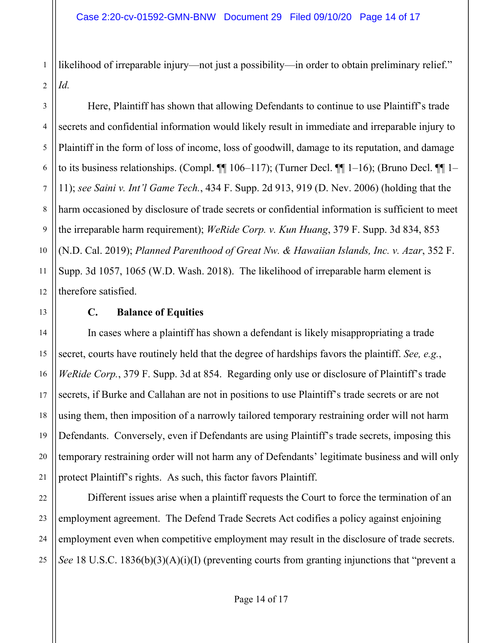likelihood of irreparable injury—not just a possibility—in order to obtain preliminary relief." *Id.*

Here, Plaintiff has shown that allowing Defendants to continue to use Plaintiff's trade secrets and confidential information would likely result in immediate and irreparable injury to Plaintiff in the form of loss of income, loss of goodwill, damage to its reputation, and damage to its business relationships. (Compl.  $\P$  106–117); (Turner Decl.  $\P$  1–16); (Bruno Decl.  $\P$  1– 11); *see Saini v. Int'l Game Tech.*, 434 F. Supp. 2d 913, 919 (D. Nev. 2006) (holding that the harm occasioned by disclosure of trade secrets or confidential information is sufficient to meet the irreparable harm requirement); *WeRide Corp. v. Kun Huang*, 379 F. Supp. 3d 834, 853 (N.D. Cal. 2019); *Planned Parenthood of Great Nw. & Hawaiian Islands, Inc. v. Azar*, 352 F. Supp. 3d 1057, 1065 (W.D. Wash. 2018). The likelihood of irreparable harm element is therefore satisfied.

#### **C. Balance of Equities**

In cases where a plaintiff has shown a defendant is likely misappropriating a trade secret, courts have routinely held that the degree of hardships favors the plaintiff. *See, e.g.*, *WeRide Corp.*, 379 F. Supp. 3d at 854. Regarding only use or disclosure of Plaintiff's trade secrets, if Burke and Callahan are not in positions to use Plaintiff's trade secrets or are not using them, then imposition of a narrowly tailored temporary restraining order will not harm Defendants. Conversely, even if Defendants are using Plaintiff's trade secrets, imposing this temporary restraining order will not harm any of Defendants' legitimate business and will only protect Plaintiff's rights. As such, this factor favors Plaintiff.

Different issues arise when a plaintiff requests the Court to force the termination of an employment agreement. The Defend Trade Secrets Act codifies a policy against enjoining employment even when competitive employment may result in the disclosure of trade secrets. *See* 18 U.S.C. 1836(b)(3)(A)(i)(I) (preventing courts from granting injunctions that "prevent a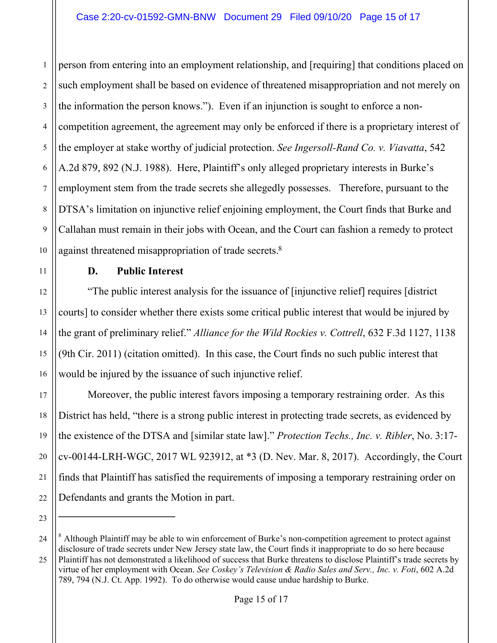1 2 3 4 5 6 7 8 9 10 person from entering into an employment relationship, and [requiring] that conditions placed on such employment shall be based on evidence of threatened misappropriation and not merely on the information the person knows."). Even if an injunction is sought to enforce a noncompetition agreement, the agreement may only be enforced if there is a proprietary interest of the employer at stake worthy of judicial protection. *See Ingersoll-Rand Co. v. Viavatta*, 542 A.2d 879, 892 (N.J. 1988). Here, Plaintiff's only alleged proprietary interests in Burke's employment stem from the trade secrets she allegedly possesses. Therefore, pursuant to the DTSA's limitation on injunctive relief enjoining employment, the Court finds that Burke and Callahan must remain in their jobs with Ocean, and the Court can fashion a remedy to protect against threatened misappropriation of trade secrets.<sup>8</sup>

12 13 14

15

16

17

18

19

20

21

22

23

11

# **D. Public Interest**

"The public interest analysis for the issuance of [injunctive relief] requires [district courts] to consider whether there exists some critical public interest that would be injured by the grant of preliminary relief." *Alliance for the Wild Rockies v. Cottrell*, 632 F.3d 1127, 1138 (9th Cir. 2011) (citation omitted). In this case, the Court finds no such public interest that would be injured by the issuance of such injunctive relief.

Moreover, the public interest favors imposing a temporary restraining order. As this District has held, "there is a strong public interest in protecting trade secrets, as evidenced by the existence of the DTSA and [similar state law]." *Protection Techs., Inc. v. Ribler*, No. 3:17 cv-00144-LRH-WGC, 2017 WL 923912, at \*3 (D. Nev. Mar. 8, 2017). Accordingly, the Court finds that Plaintiff has satisfied the requirements of imposing a temporary restraining order on Defendants and grants the Motion in part.

<sup>24</sup> 25 <sup>8</sup> Although Plaintiff may be able to win enforcement of Burke's non-competition agreement to protect against disclosure of trade secrets under New Jersey state law, the Court finds it inappropriate to do so here because Plaintiff has not demonstrated a likelihood of success that Burke threatens to disclose Plaintiff's trade secrets by virtue of her employment with Ocean. *See Coskey's Television & Radio Sales and Serv., Inc. v. Foti*, 602 A.2d 789, 794 (N.J. Ct. App. 1992). To do otherwise would cause undue hardship to Burke.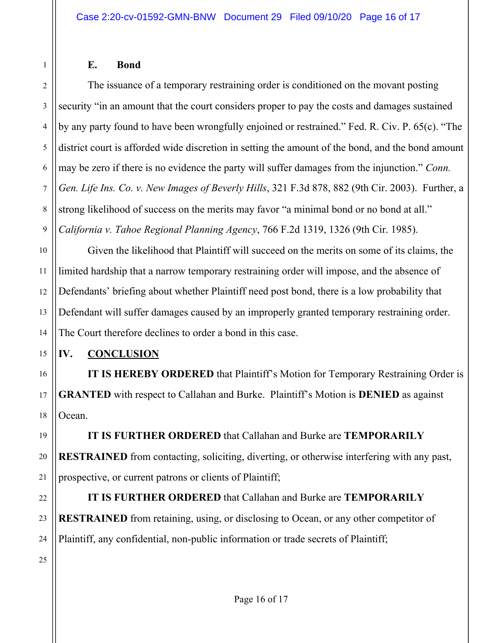#### **E. Bond**

1

2

3

4

5

6

7

8

9

The issuance of a temporary restraining order is conditioned on the movant posting security "in an amount that the court considers proper to pay the costs and damages sustained by any party found to have been wrongfully enjoined or restrained." Fed. R. Civ. P. 65(c). "The district court is afforded wide discretion in setting the amount of the bond, and the bond amount may be zero if there is no evidence the party will suffer damages from the injunction." *Conn. Gen. Life Ins. Co. v. New Images of Beverly Hills*, 321 F.3d 878, 882 (9th Cir. 2003). Further, a strong likelihood of success on the merits may favor "a minimal bond or no bond at all." *California v. Tahoe Regional Planning Agency*, 766 F.2d 1319, 1326 (9th Cir. 1985).

10 Given the likelihood that Plaintiff will succeed on the merits on some of its claims, the limited hardship that a narrow temporary restraining order will impose, and the absence of Defendants' briefing about whether Plaintiff need post bond, there is a low probability that Defendant will suffer damages caused by an improperly granted temporary restraining order. The Court therefore declines to order a bond in this case.

### **IV. CONCLUSION**

**IT IS HEREBY ORDERED** that Plaintiff's Motion for Temporary Restraining Order is **GRANTED** with respect to Callahan and Burke. Plaintiff's Motion is **DENIED** as against Ocean.

**IT IS FURTHER ORDERED** that Callahan and Burke are **TEMPORARILY RESTRAINED** from contacting, soliciting, diverting, or otherwise interfering with any past, prospective, or current patrons or clients of Plaintiff;

**IT IS FURTHER ORDERED** that Callahan and Burke are **TEMPORARILY RESTRAINED** from retaining, using, or disclosing to Ocean, or any other competitor of Plaintiff, any confidential, non-public information or trade secrets of Plaintiff;